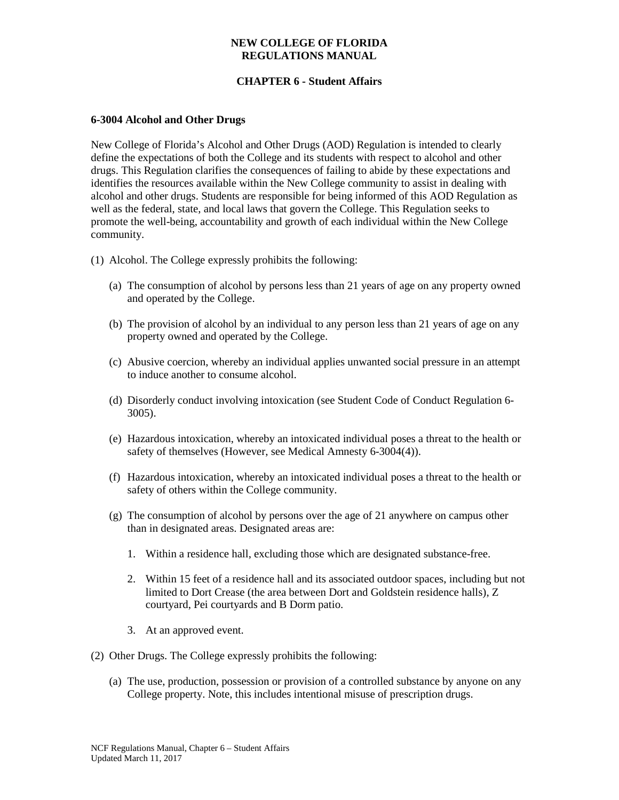# **CHAPTER 6 - Student Affairs**

## **6-3004 Alcohol and Other Drugs**

New College of Florida's Alcohol and Other Drugs (AOD) Regulation is intended to clearly define the expectations of both the College and its students with respect to alcohol and other drugs. This Regulation clarifies the consequences of failing to abide by these expectations and identifies the resources available within the New College community to assist in dealing with alcohol and other drugs. Students are responsible for being informed of this AOD Regulation as well as the federal, state, and local laws that govern the College. This Regulation seeks to promote the well-being, accountability and growth of each individual within the New College community.

- (1) Alcohol. The College expressly prohibits the following:
	- (a) The consumption of alcohol by persons less than 21 years of age on any property owned and operated by the College.
	- (b) The provision of alcohol by an individual to any person less than 21 years of age on any property owned and operated by the College.
	- (c) Abusive coercion, whereby an individual applies unwanted social pressure in an attempt to induce another to consume alcohol.
	- (d) Disorderly conduct involving intoxication (see Student Code of Conduct Regulation 6-3005).
	- (e) Hazardous intoxication, whereby an intoxicated individual poses a threat to the health or safety of themselves (However, see Medical Amnesty 6-3004(4)).
	- (f) Hazardous intoxication, whereby an intoxicated individual poses a threat to the health or safety of others within the College community.
	- (g) The consumption of alcohol by persons over the age of 21 anywhere on campus other than in designated areas. Designated areas are:
		- 1. Within a residence hall, excluding those which are designated substance-free.
		- 2. Within 15 feet of a residence hall and its associated outdoor spaces, including but not limited to Dort Crease (the area between Dort and Goldstein residence halls), Z courtyard, Pei courtyards and B Dorm patio.
		- 3. At an approved event.
- (2) Other Drugs. The College expressly prohibits the following:
	- (a) The use, production, possession or provision of a controlled substance by anyone on any College property. Note, this includes intentional misuse of prescription drugs.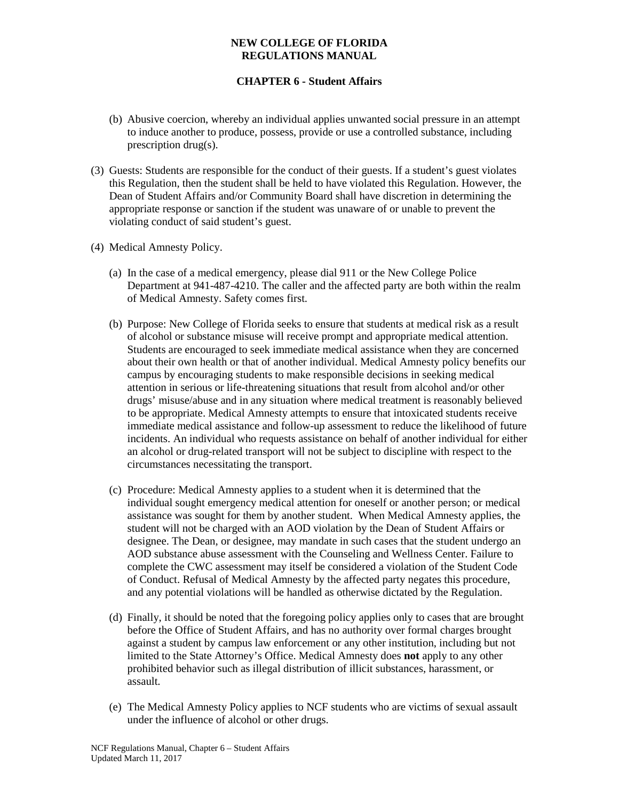# **CHAPTER 6 - Student Affairs**

- (b) Abusive coercion, whereby an individual applies unwanted social pressure in an attempt to induce another to produce, possess, provide or use a controlled substance, including prescription drug(s).
- (3) Guests: Students are responsible for the conduct of their guests. If a student's guest violates this Regulation, then the student shall be held to have violated this Regulation. However, the Dean of Student Affairs and/or Community Board shall have discretion in determining the appropriate response or sanction if the student was unaware of or unable to prevent the violating conduct of said student's guest.
- (4) Medical Amnesty Policy.
	- (a) In the case of a medical emergency, please dial 911 or the New College Police Department at 941-487-4210. The caller and the affected party are both within the realm of Medical Amnesty. Safety comes first.
	- (b) Purpose: New College of Florida seeks to ensure that students at medical risk as a result of alcohol or substance misuse will receive prompt and appropriate medical attention. Students are encouraged to seek immediate medical assistance when they are concerned about their own health or that of another individual. Medical Amnesty policy benefits our campus by encouraging students to make responsible decisions in seeking medical attention in serious or life-threatening situations that result from alcohol and/or other drugs' misuse/abuse and in any situation where medical treatment is reasonably believed to be appropriate. Medical Amnesty attempts to ensure that intoxicated students receive immediate medical assistance and follow-up assessment to reduce the likelihood of future incidents. An individual who requests assistance on behalf of another individual for either an alcohol or drug-related transport will not be subject to discipline with respect to the circumstances necessitating the transport.
	- (c) Procedure: Medical Amnesty applies to a student when it is determined that the individual sought emergency medical attention for oneself or another person; or medical assistance was sought for them by another student. When Medical Amnesty applies, the student will not be charged with an AOD violation by the Dean of Student Affairs or designee. The Dean, or designee, may mandate in such cases that the student undergo an AOD substance abuse assessment with the Counseling and Wellness Center. Failure to complete the CWC assessment may itself be considered a violation of the Student Code of Conduct. Refusal of Medical Amnesty by the affected party negates this procedure, and any potential violations will be handled as otherwise dictated by the Regulation.
	- (d) Finally, it should be noted that the foregoing policy applies only to cases that are brought before the Office of Student Affairs, and has no authority over formal charges brought against a student by campus law enforcement or any other institution, including but not limited to the State Attorney's Office. Medical Amnesty does **not** apply to any other prohibited behavior such as illegal distribution of illicit substances, harassment, or assault.
	- (e) The Medical Amnesty Policy applies to NCF students who are victims of sexual assault under the influence of alcohol or other drugs.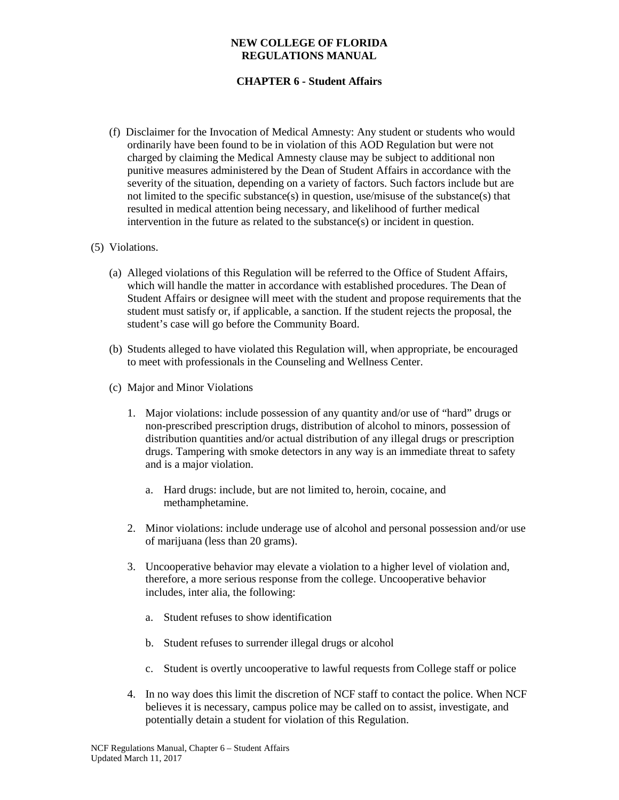# **CHAPTER 6 - Student Affairs**

(f) Disclaimer for the Invocation of Medical Amnesty: Any student or students who would ordinarily have been found to be in violation of this AOD Regulation but were not charged by claiming the Medical Amnesty clause may be subject to additional non punitive measures administered by the Dean of Student Affairs in accordance with the severity of the situation, depending on a variety of factors. Such factors include but are not limited to the specific substance(s) in question, use/misuse of the substance(s) that resulted in medical attention being necessary, and likelihood of further medical intervention in the future as related to the substance(s) or incident in question.

## (5) Violations.

- (a) Alleged violations of this Regulation will be referred to the Office of Student Affairs, which will handle the matter in accordance with established procedures. The Dean of Student Affairs or designee will meet with the student and propose requirements that the student must satisfy or, if applicable, a sanction. If the student rejects the proposal, the student's case will go before the Community Board.
- (b) Students alleged to have violated this Regulation will, when appropriate, be encouraged to meet with professionals in the Counseling and Wellness Center.
- (c) Major and Minor Violations
	- 1. Major violations: include possession of any quantity and/or use of "hard" drugs or non-prescribed prescription drugs, distribution of alcohol to minors, possession of distribution quantities and/or actual distribution of any illegal drugs or prescription drugs. Tampering with smoke detectors in any way is an immediate threat to safety and is a major violation.
		- a. Hard drugs: include, but are not limited to, heroin, cocaine, and methamphetamine.
	- 2. Minor violations: include underage use of alcohol and personal possession and/or use of marijuana (less than 20 grams).
	- 3. Uncooperative behavior may elevate a violation to a higher level of violation and, therefore, a more serious response from the college. Uncooperative behavior includes, inter alia, the following:
		- a. Student refuses to show identification
		- b. Student refuses to surrender illegal drugs or alcohol
		- c. Student is overtly uncooperative to lawful requests from College staff or police
	- 4. In no way does this limit the discretion of NCF staff to contact the police. When NCF believes it is necessary, campus police may be called on to assist, investigate, and potentially detain a student for violation of this Regulation.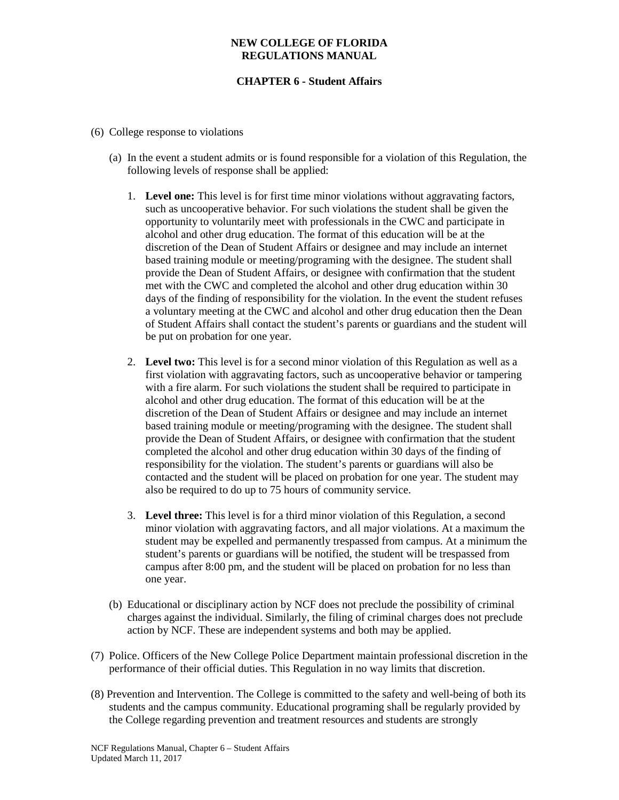## **CHAPTER 6 - Student Affairs**

- (6) College response to violations
	- (a) In the event a student admits or is found responsible for a violation of this Regulation, the following levels of response shall be applied:
		- 1. **Level one:** This level is for first time minor violations without aggravating factors, such as uncooperative behavior. For such violations the student shall be given the opportunity to voluntarily meet with professionals in the CWC and participate in alcohol and other drug education. The format of this education will be at the discretion of the Dean of Student Affairs or designee and may include an internet based training module or meeting/programing with the designee. The student shall provide the Dean of Student Affairs, or designee with confirmation that the student met with the CWC and completed the alcohol and other drug education within 30 days of the finding of responsibility for the violation. In the event the student refuses a voluntary meeting at the CWC and alcohol and other drug education then the Dean of Student Affairs shall contact the student's parents or guardians and the student will be put on probation for one year.
		- 2. **Level two:** This level is for a second minor violation of this Regulation as well as a first violation with aggravating factors, such as uncooperative behavior or tampering with a fire alarm. For such violations the student shall be required to participate in alcohol and other drug education. The format of this education will be at the discretion of the Dean of Student Affairs or designee and may include an internet based training module or meeting/programing with the designee. The student shall provide the Dean of Student Affairs, or designee with confirmation that the student completed the alcohol and other drug education within 30 days of the finding of responsibility for the violation. The student's parents or guardians will also be contacted and the student will be placed on probation for one year. The student may also be required to do up to 75 hours of community service.
		- 3. **Level three:** This level is for a third minor violation of this Regulation, a second minor violation with aggravating factors, and all major violations. At a maximum the student may be expelled and permanently trespassed from campus. At a minimum the student's parents or guardians will be notified, the student will be trespassed from campus after 8:00 pm, and the student will be placed on probation for no less than one year.
	- (b) Educational or disciplinary action by NCF does not preclude the possibility of criminal charges against the individual. Similarly, the filing of criminal charges does not preclude action by NCF. These are independent systems and both may be applied.
- (7) Police. Officers of the New College Police Department maintain professional discretion in the performance of their official duties. This Regulation in no way limits that discretion.
- (8) Prevention and Intervention. The College is committed to the safety and well-being of both its students and the campus community. Educational programing shall be regularly provided by the College regarding prevention and treatment resources and students are strongly